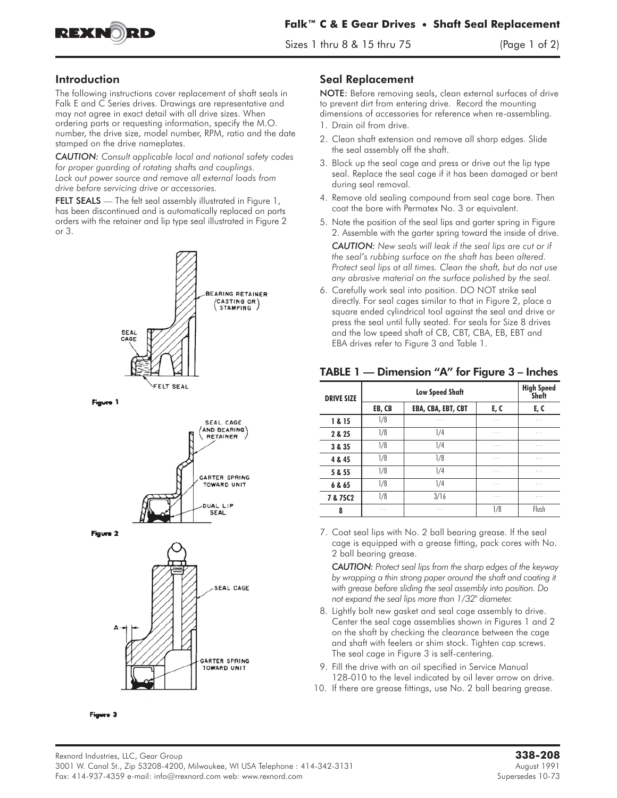

 $\frac{1}{2}$  thru 8  $\frac{1}{2}$  thru 8  $\frac{1}{2}$  and 2)

## Introduction

The following instructions cover replacement of shaft seals in Falk E and C Series drives. Drawings are representative and may not agree in exact detail with all drive sizes. When ordering parts or requesting information, specify the M.O. number, the drive size, model number, RPM, ratio and the date stamped on the drive nameplates.

*CAUTION: Consult applicable local and national safety codes for proper guarding of rotating shafts and couplings. Lock out power source and remove all external loads from drive before servicing drive or accessories.* **CAUTION:** Consult applicable local and national safety co<br>for proper guarding of rotating shafts and couplings.<br>Lock out power source and remove all external loads from<br>drive before servicing drive or accessories.<br>**FELT S** 

has been discontinued and is automatically replaced on parts orders with the retainer and lip type seal illustrated in Figure 2 or 3.



Figure 1









## Seal Replacement

NOTE: Before removing seals, clean external surfaces of drive to prevent dirt from entering drive. Record the mounting dimensions of accessories for reference when re-assembling.

- 1. Drain oil from drive.
- 2. Clean shaft extension and remove all sharp edges. Slide the seal assembly off the shaft.
- 3. Block up the seal cage and press or drive out the lip type seal. Replace the seal cage if it has been damaged or bent during seal removal.
- 4. Remove old sealing compound from seal cage bore. Then coat the bore with Permatex No. 3 or equivalent.
- 5. Note the position of the seal lips and garter spring in Figure 2. Assemble with the garter spring toward the inside of drive.

*CAUTION: New seals will leak if the seal lips are cut or if the seal's rubbing surface on the shaft has been altered. Protect seal lips at all times. Clean the shaft, but do not use any abrasive material on the surface polished by the seal.*

6. Carefully work seal into position. DO NOT strike seal directly. For seal cages similar to that in Figure 2, place a square ended cylindrical tool against the seal and drive or press the seal until fully seated. For seals for Size 8 drives and the low speed shaft of CB, CBT, CBA, EB, EBT and EBA drives refer to Figure 3 and Table 1.

|  | TABLE 1 — Dimension "A" for Figure 3 – Inches |  |  |  |  |  |
|--|-----------------------------------------------|--|--|--|--|--|
|--|-----------------------------------------------|--|--|--|--|--|

| <b>DRIVE SIZE</b> | <b>Low Speed Shaft</b> |                    |          | <b>High Speed</b><br>Shaft |
|-------------------|------------------------|--------------------|----------|----------------------------|
|                   | EB, CB                 | EBA, CBA, EBT, CBT | E, C     | E, C                       |
| 1 & 15            | 1/8                    | $\cdots$           | $\cdots$ | $\cdots$                   |
| 2 & 25            | 1/8                    | 1/4                | $\cdots$ | $\cdots$                   |
| 3 & 35            | 1/8                    | 1/4                | $\cdots$ | $\cdots$                   |
| 4 & 45            | 1/8                    | 1/8                | $\cdots$ | $\cdots$                   |
| 5 & 55            | 1/8                    | 1/4                | $\cdots$ | $\cdots$                   |
| 6 & 65            | 1/8                    | 1/4                | $\cdots$ | $\cdots$                   |
| 7 & 75C2          | 1/8                    | 3/16               | $\cdots$ | $\cdots$                   |
| 8                 | $\cdots$               | $\cdots$           | 1/8      | Flush                      |

7. Coat seal lips with No. 2 ball bearing grease. If the seal cage is equipped with a grease fitting, pack cores with No. 2 ball bearing grease.

*CAUTION: Protect seal lips from the sharp edges of the keyway by wrapping a thin strong paper around the shaft and coating it with grease before sliding the seal assembly into position. Do not expand the seal lips more than 1/32" diameter.*

- 8. Lightly bolt new gasket and seal cage assembly to drive. Center the seal cage assemblies shown in Figures 1 and 2 on the shaft by checking the clearance between the cage and shaft with feelers or shim stock. Tighten cap screws. The seal cage in Figure 3 is self-centering.
- 9. Fill the drive with an oil specified in Service Manual 128-010 to the level indicated by oil lever arrow on drive.
- 10. If there are grease fittings, use No. 2 ball bearing grease.